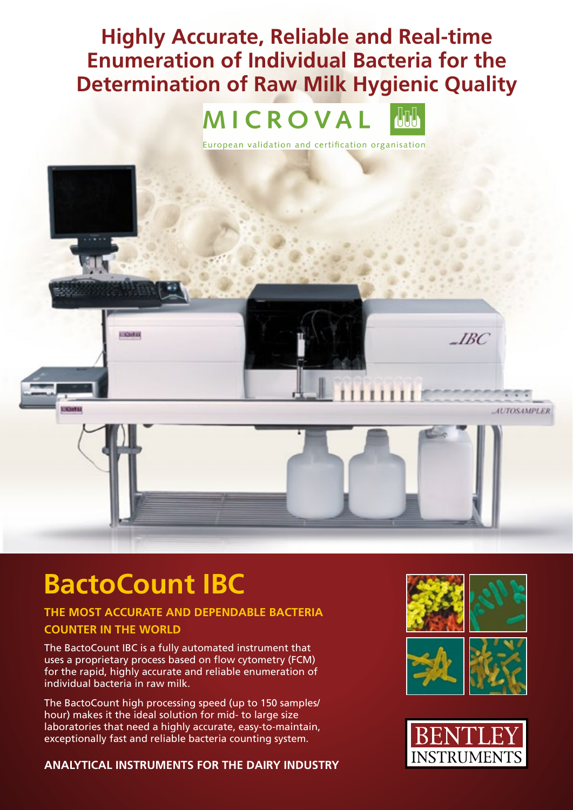## **Highly Accurate, Reliable and Real-time Enumeration of Individual Bacteria for the Determination of Raw milk Hygienic Quality**

# MICROVAL



European validation and certification organisation



## **BactoCount IBC**

## **THE mOST ACCURATE AND DEPENDABLE BACTERIA**

#### **COUNTER IN THE WORLD**

The BactoCount IBC is a fully automated instrument that uses a proprietary process based on flow cytometry (FCM) for the rapid, highly accurate and reliable enumeration of individual bacteria in raw milk.

The BactoCount high processing speed (up to 150 samples/ hour) makes it the ideal solution for mid- to large size laboratories that need a highly accurate, easy-to-maintain, exceptionally fast and reliable bacteria counting system.

#### **ANALYTICAL INSTRUmENTS FOR THE DAIRY INDUSTRY**



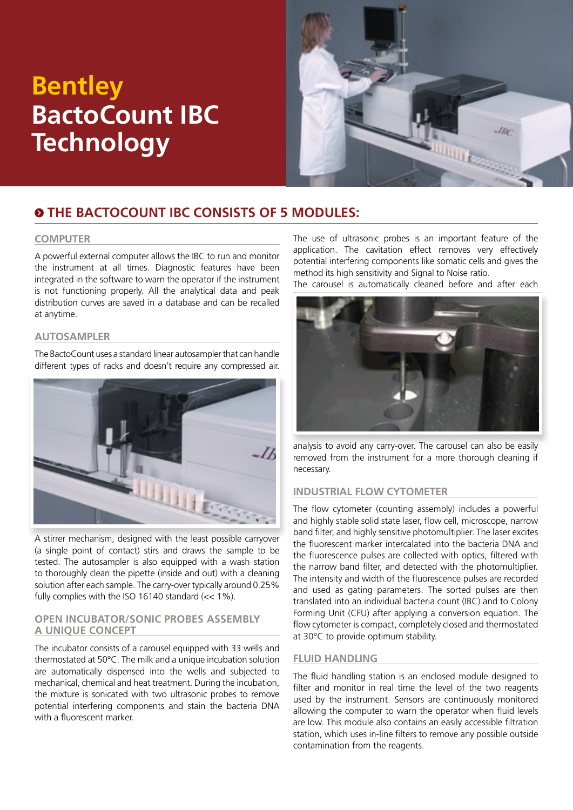## **Bentley BactoCount IBC Technology**



## **The BactoCount IBC consists OF 5 modules:**

#### **Computer**

A powerful external computer allows the IBC to run and monitor the instrument at all times. Diagnostic features have been integrated in the software to warn the operator if the instrument is not functioning properly. All the analytical data and peak distribution curves are saved in a database and can be recalled at anytime.

#### **Autosampler**

The BactoCount uses a standard linear autosampler that can handle different types of racks and doesn't require any compressed air.



A stirrer mechanism, designed with the least possible carryover (a single point of contact) stirs and draws the sample to be tested. The autosampler is also equipped with a wash station to thoroughly clean the pipette (inside and out) with a cleaning solution after each sample. The carry-over typically around 0.25% fully complies with the ISO 16140 standard  $\ll 1\%$ ).

#### **Open Incubator/Sonic probes Assembly A Unique Concept**

The incubator consists of a carousel equipped with 33 wells and thermostated at 50°C. The milk and a unique incubation solution are automatically dispensed into the wells and subjected to mechanical, chemical and heat treatment. During the incubation, the mixture is sonicated with two ultrasonic probes to remove potential interfering components and stain the bacteria DNA with a fluorescent marker.

The use of ultrasonic probes is an important feature of the application. The cavitation effect removes very effectively potential interfering components like somatic cells and gives the method its high sensitivity and Signal to Noise ratio.

The carousel is automatically cleaned before and after each



analysis to avoid any carry-over. The carousel can also be easily removed from the instrument for a more thorough cleaning if necessary.

#### **Industrial Flow Cytometer**

The flow cytometer (counting assembly) includes a powerful and highly stable solid state laser, flow cell, microscope, narrow band filter, and highly sensitive photomultiplier. The laser excites the fluorescent marker intercalated into the bacteria DNA and the fluorescence pulses are collected with optics, filtered with the narrow band filter, and detected with the photomultiplier. The intensity and width of the fluorescence pulses are recorded and used as gating parameters. The sorted pulses are then translated into an individual bacteria count (IBC) and to Colony Forming Unit (CFU) after applying a conversion equation. The flow cytometer is compact, completely closed and thermostated at 30°C to provide optimum stability.

#### **Fluid Handling**

The fluid handling station is an enclosed module designed to filter and monitor in real time the level of the two reagents used by the instrument. Sensors are continuously monitored allowing the computer to warn the operator when fluid levels are low. This module also contains an easily accessible filtration station, which uses in-line filters to remove any possible outside contamination from the reagents.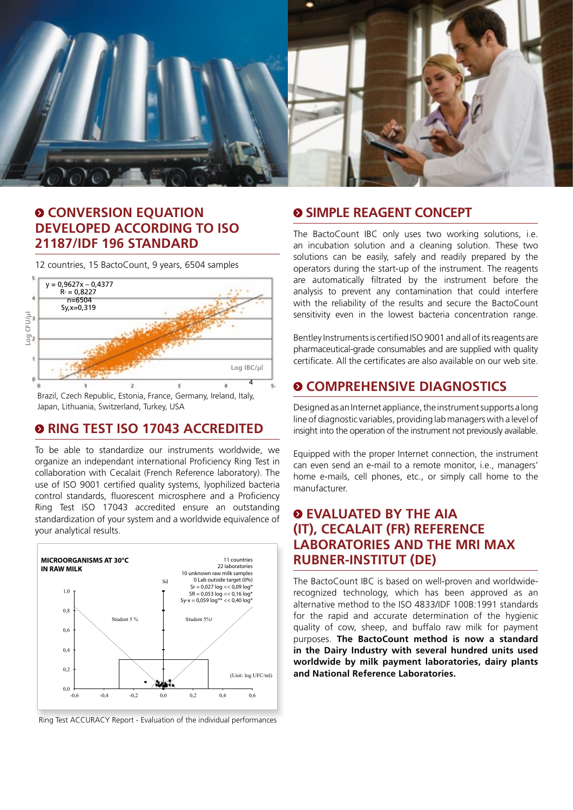

### $\circ$  **CONVERSION EQUATION Developed according to ISO 21187/IDF 196 Standard**

12 countries, 15 BactoCount, 9 years, 6504 samples



Brazil, Czech Republic, Estonia, France, Germany, Ireland, Italy, Japan, Lithuania, Switzerland, Turkey, USA

### **<sup>O</sup> RING TEST ISO 17043 ACCREDITED**

To be able to standardize our instruments worldwide, we organize an independant international Proficiency Ring Test in collaboration with Cecalait (French Reference laboratory). The use of ISO 9001 certified quality systems, lyophilized bacteria control standards, fluorescent microsphere and a Proficiency Ring Test ISO 17043 accredited ensure an outstanding standardization of your system and a worldwide equivalence of your analytical results.



Ring Test ACCURACY Report - Evaluation of the individual performances

#### **SIMPLE REAGENT CONCEPT**

The BactoCount IBC only uses two working solutions, i.e. an incubation solution and a cleaning solution. These two solutions can be easily, safely and readily prepared by the operators during the start-up of the instrument. The reagents are automatically filtrated by the instrument before the analysis to prevent any contamination that could interfere with the reliability of the results and secure the BactoCount sensitivity even in the lowest bacteria concentration range.

Bentley Instruments is certified ISO 9001 and all of its reagents are pharmaceutical-grade consumables and are supplied with quality certificate. All the certificates are also available on our web site.

#### **COMPREHENSIVE DIAGNOSTICS**

Designed as an Internet appliance, the instrument supports a long line of diagnostic variables, providing lab managers with a level of insight into the operation of the instrument not previously available.

Equipped with the proper Internet connection, the instrument can even send an e-mail to a remote monitor, i.e., managers' home e-mails, cell phones, etc., or simply call home to the manufacturer.

### **EVALUATED BY THE AIA (IT), CECALAIT (FR) REFERENCE LABORATORIES AND THE MRI MAX RUBNER-INSTITUT (DE)**

The BactoCount IBC is based on well-proven and worldwiderecognized technology, which has been approved as an alternative method to the ISO 4833/IDF 100B:1991 standards for the rapid and accurate determination of the hygienic quality of cow, sheep, and buffalo raw milk for payment purposes. **The BactoCount method is now a standard in the Dairy Industry with several hundred units used worldwide by milk payment laboratories, dairy plants and National Reference Laboratories.**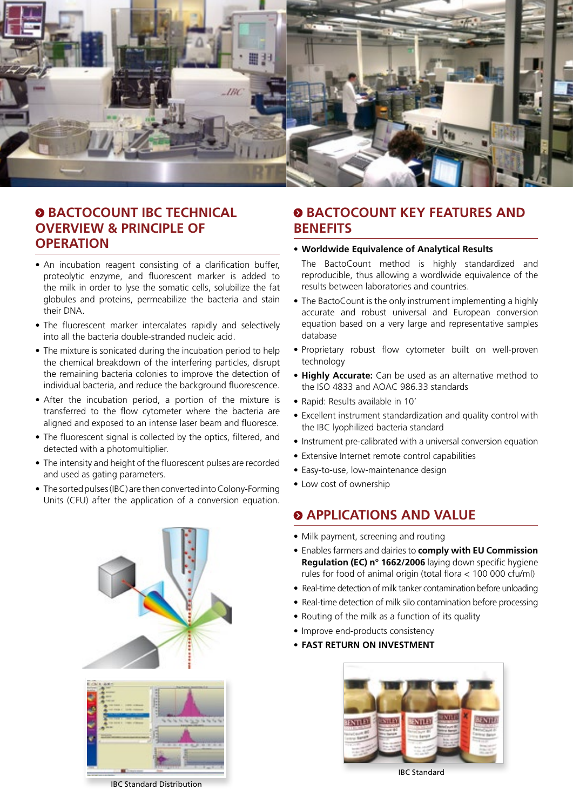

#### **BACTOCOUNT IBC TECHNICAL OVERVIEW & PRINCIPLE OF OPERATION**

- An incubation reagent consisting of a clarification buffer, proteolytic enzyme, and fluorescent marker is added to the milk in order to lyse the somatic cells, solubilize the fat globules and proteins, permeabilize the bacteria and stain their DNA.
- The fluorescent marker intercalates rapidly and selectively into all the bacteria double-stranded nucleic acid.
- The mixture is sonicated during the incubation period to help the chemical breakdown of the interfering particles, disrupt the remaining bacteria colonies to improve the detection of individual bacteria, and reduce the background fluorescence.
- After the incubation period, a portion of the mixture is transferred to the flow cytometer where the bacteria are aligned and exposed to an intense laser beam and fluoresce.
- The fluorescent signal is collected by the optics, filtered, and detected with a photomultiplier.
- The intensity and height of the fluorescent pulses are recorded and used as gating parameters.
- The sorted pulses (IBC) are then converted into Colony-Forming Units (CFU) after the application of a conversion equation.



### $\odot$  **BACTOCOUNT KEY FEATURES AND BENEFITS**

#### **• Worldwide Equivalence of Analytical Results**

- The BactoCount method is highly standardized and reproducible, thus allowing a wordlwide equivalence of the results between laboratories and countries.
- The BactoCount is the only instrument implementing a highly accurate and robust universal and European conversion equation based on a very large and representative samples database
- Proprietary robust flow cytometer built on well-proven technology
- **• Highly Accurate:** Can be used as an alternative method to the ISO 4833 and AOAC 986.33 standards
- Rapid: Results available in 10'
- Excellent instrument standardization and quality control with the IBC lyophilized bacteria standard
- Instrument pre-calibrated with a universal conversion equation
- Extensive Internet remote control capabilities
- Easy-to-use, low-maintenance design
- Low cost of ownership

#### $\odot$  **APPLICATIONS AND VALUE**

- Milk payment, screening and routing
- Enables farmers and dairies to **comply with EU Commission Regulation (EC) n° 1662/2006** laying down specific hygiene rules for food of animal origin (total flora < 100 000 cfu/ml)
- Real-time detection of milk tanker contamination before unloading
- Real-time detection of milk silo contamination before processing
- Routing of the milk as a function of its quality
- Improve end-products consistency
- **• FAST RETURN ON INVESTMENT**



IBC Standard

IBC Standard Distribution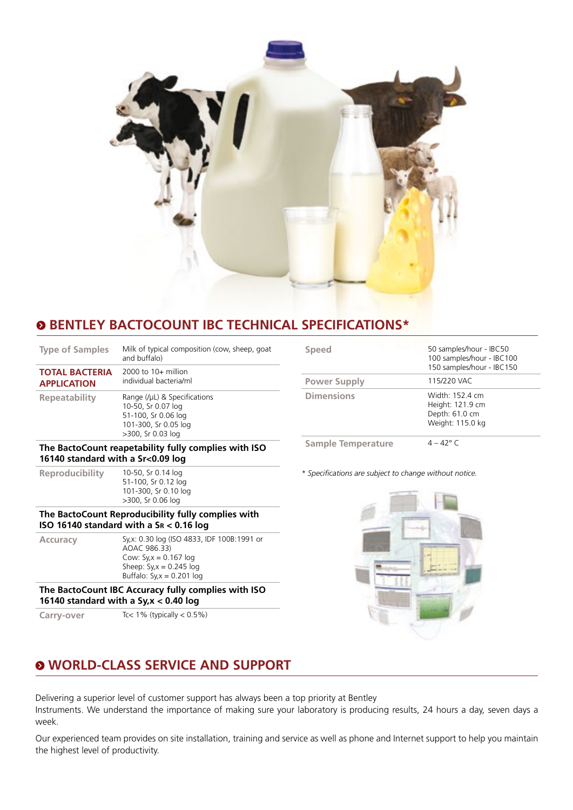

## **BENTLEY BACTOCOUNT IBC TECHNICAL SPECIFICATIONS\***

| <b>Type of Samples</b>                               | Milk of typical composition (cow, sheep, goat<br>and buffalo)                                                          |
|------------------------------------------------------|------------------------------------------------------------------------------------------------------------------------|
| <b>TOTAL BACTERIA</b><br><b>APPLICATION</b>          | $2000$ to $10+$ million<br>individual bacteria/ml                                                                      |
| Repeatability                                        | Range (/µL) & Specifications<br>10-50, Sr 0.07 log<br>51-100, Sr 0.06 log<br>101-300, Sr 0.05 log<br>>300, Sr 0.03 log |
| The BactoCount reapetability fully complies with ISO |                                                                                                                        |

51-100, Sr 0.12 log 101-300, Sr 0.10 log >300, Sr 0.06 log **The BactoCount Reproducibility fully complies with** 

**Accuracy** Sy,x: 0.30 log (ISO 4833, IDF 100B:1991 or AOAC 986.33) Cow: Sy,x = 0.167 log Sheep:  $Sy_x = 0.245$  log Buffalo:  $S_{V,X} = 0.201$  log **The BactoCount IBC Accuracy fully complies with ISO** 

**16140 standard with a Sr<0.09 log Reproducibility** 10-50, Sr 0.14 log

**ISO 16140 standard with a SR < 0.16 log**

**16140 standard with a Sy,x < 0.40 log Carry-over** Tc< 1% (typically < 0.5%)

| <b>Speed</b>        | 50 samples/hour - IBC50<br>100 samples/hour - IBC100<br>150 samples/hour - IBC150 |
|---------------------|-----------------------------------------------------------------------------------|
| <b>Power Supply</b> | 115/220 VAC                                                                       |
| <b>Dimensions</b>   | Width: 152.4 cm<br>Height: 121.9 cm<br>Depth: 61.0 cm<br>Weight: 115.0 kg         |
| _______             | $\sim$ $\sim$                                                                     |

#### **Sample Temperature** 4 – 42° C

*\* Specifications are subject to change without notice.* 



## **WORLD-CLASS SERVICE AND SUPPORT**

Delivering a superior level of customer support has always been a top priority at Bentley Instruments. We understand the importance of making sure your laboratory is producing results, 24 hours a day, seven days a week.

Our experienced team provides on site installation, training and service as well as phone and Internet support to help you maintain the highest level of productivity.